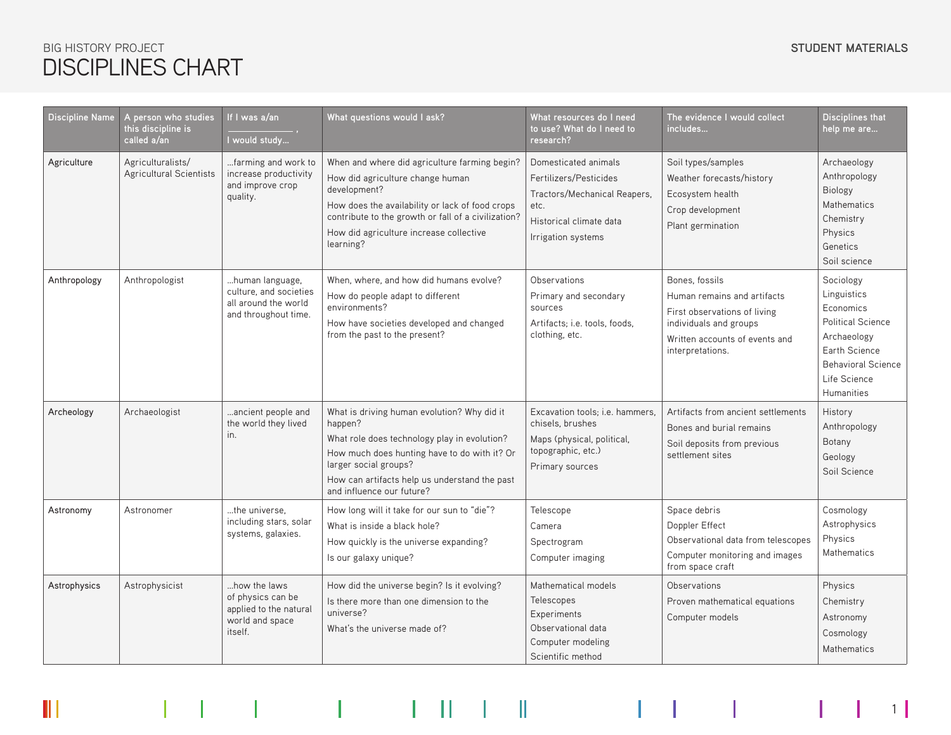### STUDENT MATERIALS BIG HISTORY PROJECT **STUDENT MATERIALS** DISCIPLINES CHART

 $\parallel$ 

| Discipline Name     | A person who studies<br>this discipline is<br>called a/an | If I was a/an<br>I would study                                                            | What questions would I ask?                                                                                                                                                                                                                                         | What resources do I need<br>to use? What do I need to<br>research?                                                                      | The evidence I would collect<br>includes                                                                                                                      | <b>Disciplines that</b><br>help me are                                                                                                                              |
|---------------------|-----------------------------------------------------------|-------------------------------------------------------------------------------------------|---------------------------------------------------------------------------------------------------------------------------------------------------------------------------------------------------------------------------------------------------------------------|-----------------------------------------------------------------------------------------------------------------------------------------|---------------------------------------------------------------------------------------------------------------------------------------------------------------|---------------------------------------------------------------------------------------------------------------------------------------------------------------------|
| Agriculture         | Agriculturalists/<br>Agricultural Scientists              | farming and work to<br>increase productivity<br>and improve crop<br>quality.              | When and where did agriculture farming begin?<br>How did agriculture change human<br>development?<br>How does the availability or lack of food crops<br>contribute to the growth or fall of a civilization?<br>How did agriculture increase collective<br>learning? | Domesticated animals<br>Fertilizers/Pesticides<br>Tractors/Mechanical Reapers,<br>etc.<br>Historical climate data<br>Irrigation systems | Soil types/samples<br>Weather forecasts/history<br>Ecosystem health<br>Crop development<br>Plant germination                                                  | Archaeology<br>Anthropology<br><b>Biology</b><br>Mathematics<br>Chemistry<br>Physics<br>Genetics<br>Soil science                                                    |
| Anthropology        | Anthropologist                                            | human language,<br>culture, and societies<br>all around the world<br>and throughout time. | When, where, and how did humans evolve?<br>How do people adapt to different<br>environments?<br>How have societies developed and changed<br>from the past to the present?                                                                                           | Observations<br>Primary and secondary<br>sources<br>Artifacts; i.e. tools, foods,<br>clothing, etc.                                     | Bones, fossils<br>Human remains and artifacts<br>First observations of living<br>individuals and groups<br>Written accounts of events and<br>interpretations. | Sociology<br>Linguistics<br>Economics<br><b>Political Science</b><br>Archaeology<br>Earth Science<br><b>Behavioral Science</b><br>Life Science<br><b>Humanities</b> |
| Archeology          | Archaeologist                                             | ancient people and<br>the world they lived<br>in.                                         | What is driving human evolution? Why did it<br>happen?<br>What role does technology play in evolution?<br>How much does hunting have to do with it? Or<br>larger social groups?<br>How can artifacts help us understand the past<br>and influence our future?       | Excavation tools; i.e. hammers,<br>chisels, brushes<br>Maps (physical, political,<br>topographic, etc.)<br>Primary sources              | Artifacts from ancient settlements<br>Bones and burial remains<br>Soil deposits from previous<br>settlement sites                                             | History<br>Anthropology<br>Botany<br>Geology<br>Soil Science                                                                                                        |
| Astronomy           | Astronomer                                                | the universe.<br>including stars, solar<br>systems, galaxies.                             | How long will it take for our sun to "die"?<br>What is inside a black hole?<br>How quickly is the universe expanding?<br>Is our galaxy unique?                                                                                                                      | Telescope<br>Camera<br>Spectrogram<br>Computer imaging                                                                                  | Space debris<br>Doppler Effect<br>Observational data from telescopes<br>Computer monitoring and images<br>from space craft                                    | Cosmology<br>Astrophysics<br>Physics<br><b>Mathematics</b>                                                                                                          |
| <b>Astrophysics</b> | Astrophysicist                                            | how the laws<br>of physics can be<br>applied to the natural<br>world and space<br>itself. | How did the universe begin? Is it evolving?<br>Is there more than one dimension to the<br>universe?<br>What's the universe made of?                                                                                                                                 | Mathematical models<br>Telescopes<br>Experiments<br>Observational data<br>Computer modeling<br>Scientific method                        | Observations<br>Proven mathematical equations<br>Computer models                                                                                              | Physics<br>Chemistry<br>Astronomy<br>Cosmology<br><b>Mathematics</b>                                                                                                |

1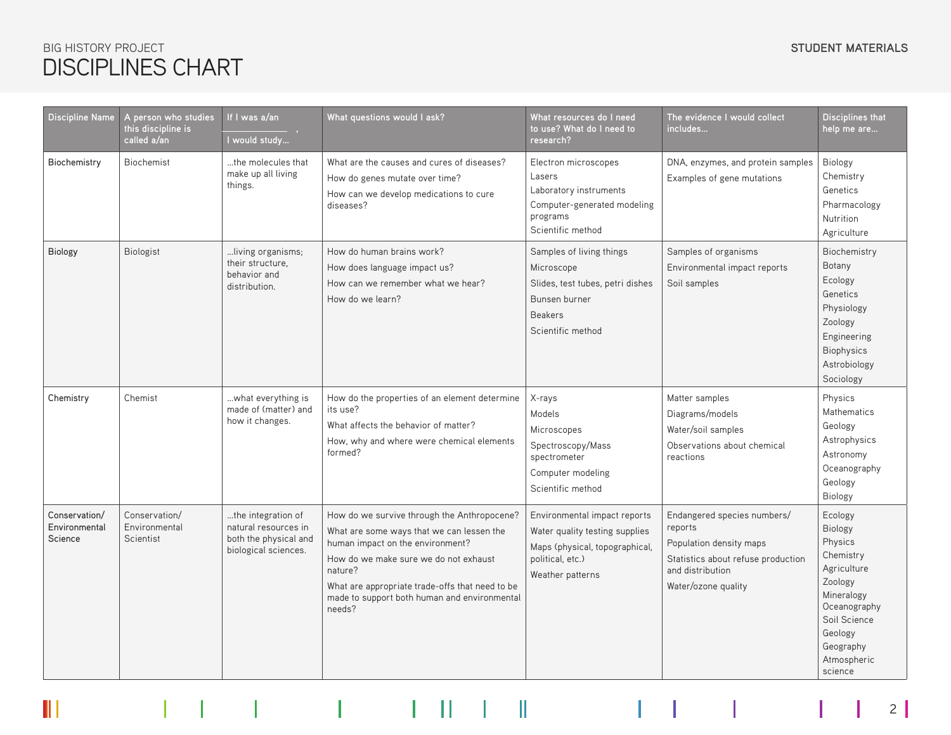# DISCIPLINES CHART **BIG HISTORY PROJECT**

 $\mathbb H$ 

| <b>Discipline Name</b>                    | A person who studies<br>this discipline is<br>called a/an | If I was a/an<br>I would study                                                              | What questions would I ask?                                                                                                                                                                                                                                                                   | What resources do I need<br>to use? What do I need to<br>research?                                                                       | The evidence I would collect<br>includes                                                                                                           | <b>Disciplines that</b><br>help me are                                                                                                                               |
|-------------------------------------------|-----------------------------------------------------------|---------------------------------------------------------------------------------------------|-----------------------------------------------------------------------------------------------------------------------------------------------------------------------------------------------------------------------------------------------------------------------------------------------|------------------------------------------------------------------------------------------------------------------------------------------|----------------------------------------------------------------------------------------------------------------------------------------------------|----------------------------------------------------------------------------------------------------------------------------------------------------------------------|
| Biochemistry                              | <b>Biochemist</b>                                         | the molecules that<br>make up all living<br>things.                                         | What are the causes and cures of diseases?<br>How do genes mutate over time?<br>How can we develop medications to cure<br>diseases?                                                                                                                                                           | Electron microscopes<br>Lasers<br>Laboratory instruments<br>Computer-generated modeling<br>programs<br>Scientific method                 | DNA, enzymes, and protein samples<br>Examples of gene mutations                                                                                    | Biology<br>Chemistry<br>Genetics<br>Pharmacology<br>Nutrition<br>Agriculture                                                                                         |
| <b>Biology</b>                            | <b>Biologist</b>                                          | living organisms;<br>their structure,<br>behavior and<br>distribution.                      | How do human brains work?<br>How does language impact us?<br>How can we remember what we hear?<br>How do we learn?                                                                                                                                                                            | Samples of living things<br>Microscope<br>Slides, test tubes, petri dishes<br>Bunsen burner<br><b>Beakers</b><br>Scientific method       | Samples of organisms<br>Environmental impact reports<br>Soil samples                                                                               | Biochemistry<br>Botany<br>Ecology<br>Genetics<br>Physiology<br>Zoology<br>Engineering<br><b>Biophysics</b><br>Astrobiology<br>Sociology                              |
| Chemistry                                 | Chemist                                                   | what everything is<br>made of (matter) and<br>how it changes.                               | How do the properties of an element determine<br>its use?<br>What affects the behavior of matter?<br>How, why and where were chemical elements<br>formed?                                                                                                                                     | X-rays<br>Models<br>Microscopes<br>Spectroscopy/Mass<br>spectrometer<br>Computer modeling<br>Scientific method                           | Matter samples<br>Diagrams/models<br>Water/soil samples<br>Observations about chemical<br>reactions                                                | Physics<br><b>Mathematics</b><br>Geology<br>Astrophysics<br>Astronomy<br>Oceanography<br>Geology<br><b>Biology</b>                                                   |
| Conservation/<br>Environmental<br>Science | Conservation/<br>Environmental<br>Scientist               | the integration of<br>natural resources in<br>both the physical and<br>biological sciences. | How do we survive through the Anthropocene?<br>What are some ways that we can lessen the<br>human impact on the environment?<br>How do we make sure we do not exhaust<br>nature?<br>What are appropriate trade-offs that need to be<br>made to support both human and environmental<br>needs? | Environmental impact reports<br>Water quality testing supplies<br>Maps (physical, topographical,<br>political, etc.)<br>Weather patterns | Endangered species numbers/<br>reports<br>Population density maps<br>Statistics about refuse production<br>and distribution<br>Water/ozone quality | Ecology<br>Biology<br>Physics<br>Chemistry<br>Agriculture<br>Zoology<br>Mineralogy<br>Oceanography<br>Soil Science<br>Geology<br>Geography<br>Atmospheric<br>science |

2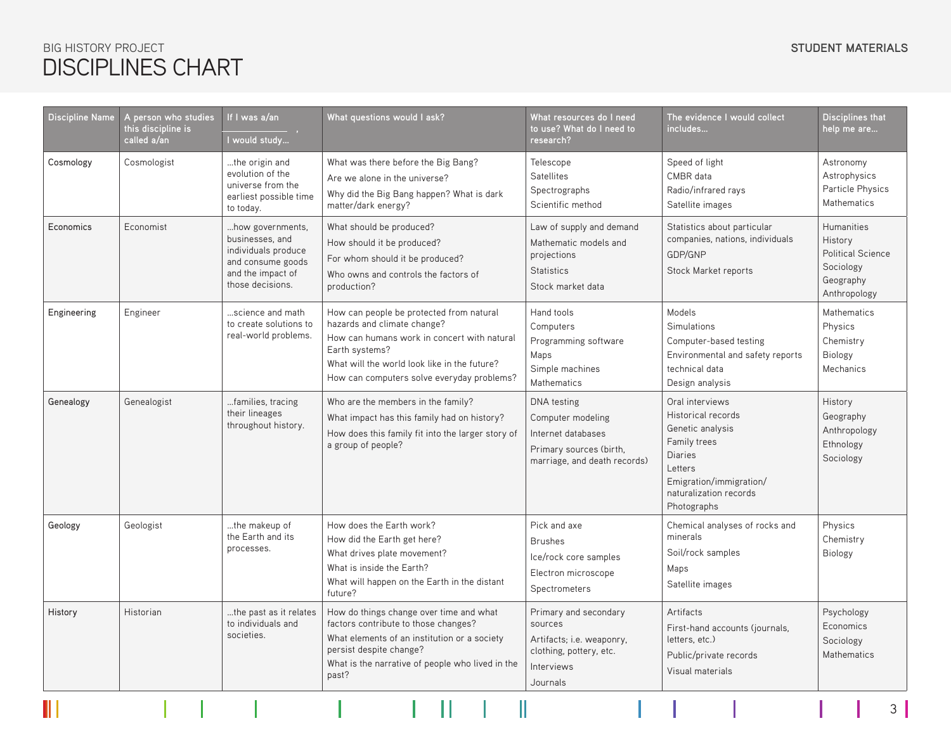### STUDENT MATERIALS BIG HISTORY PROJECT **STUDENT MATERIALS** DISCIPLINES CHART

 $\overline{\phantom{a}}$  Discipli

 $\parallel$ 

| <b>Discipline Name</b> | A person who studies<br>this discipline is<br>called a/an | If I was a/an<br>I would study                                                                                           | What questions would I ask?                                                                                                                                                                                                            | What resources do I need<br>to use? What do I need to<br>research?                                                | The evidence I would collect<br>includes                                                                                                                                   | <b>Disciplines that</b><br>help me are                                                             |
|------------------------|-----------------------------------------------------------|--------------------------------------------------------------------------------------------------------------------------|----------------------------------------------------------------------------------------------------------------------------------------------------------------------------------------------------------------------------------------|-------------------------------------------------------------------------------------------------------------------|----------------------------------------------------------------------------------------------------------------------------------------------------------------------------|----------------------------------------------------------------------------------------------------|
| Cosmology              | Cosmologist                                               | the origin and<br>evolution of the<br>universe from the<br>earliest possible time<br>to today.                           | What was there before the Big Bang?<br>Are we alone in the universe?<br>Why did the Big Bang happen? What is dark<br>matter/dark energy?                                                                                               | Telescope<br><b>Satellites</b><br>Spectrographs<br>Scientific method                                              | Speed of light<br>CMBR data<br>Radio/infrared rays<br>Satellite images                                                                                                     | Astronomy<br>Astrophysics<br>Particle Physics<br>Mathematics                                       |
| Economics              | Economist                                                 | how governments,<br>businesses, and<br>individuals produce<br>and consume goods<br>and the impact of<br>those decisions. | What should be produced?<br>How should it be produced?<br>For whom should it be produced?<br>Who owns and controls the factors of<br>production?                                                                                       | Law of supply and demand<br>Mathematic models and<br>projections<br><b>Statistics</b><br>Stock market data        | Statistics about particular<br>companies, nations, individuals<br>GDP/GNP<br>Stock Market reports                                                                          | <b>Humanities</b><br>History<br><b>Political Science</b><br>Sociology<br>Geography<br>Anthropology |
| Engineering            | Engineer                                                  | science and math<br>to create solutions to<br>real-world problems.                                                       | How can people be protected from natural<br>hazards and climate change?<br>How can humans work in concert with natural<br>Earth systems?<br>What will the world look like in the future?<br>How can computers solve everyday problems? | Hand tools<br>Computers<br>Programming software<br>Maps<br>Simple machines<br><b>Mathematics</b>                  | Models<br>Simulations<br>Computer-based testing<br>Environmental and safety reports<br>technical data<br>Design analysis                                                   | Mathematics<br>Physics<br>Chemistry<br>Biology<br>Mechanics                                        |
| Genealogy              | Genealogist                                               | families, tracing<br>their lineages<br>throughout history.                                                               | Who are the members in the family?<br>What impact has this family had on history?<br>How does this family fit into the larger story of<br>a group of people?                                                                           | DNA testing<br>Computer modeling<br>Internet databases<br>Primary sources (birth,<br>marriage, and death records) | Oral interviews<br>Historical records<br>Genetic analysis<br>Family trees<br><b>Diaries</b><br>Letters<br>Emigration/immigration/<br>naturalization records<br>Photographs | History<br>Geography<br>Anthropology<br>Ethnology<br>Sociology                                     |
| Geology                | Geologist                                                 | the makeup of<br>the Earth and its<br>processes.                                                                         | How does the Earth work?<br>How did the Earth get here?<br>What drives plate movement?<br>What is inside the Earth?<br>What will happen on the Earth in the distant<br>future?                                                         | Pick and axe<br><b>Brushes</b><br>Ice/rock core samples<br>Electron microscope<br>Spectrometers                   | Chemical analyses of rocks and<br>minerals<br>Soil/rock samples<br>Maps<br>Satellite images                                                                                | Physics<br>Chemistry<br>Biology                                                                    |
| History                | Historian                                                 | the past as it relates<br>to individuals and<br>societies.                                                               | How do things change over time and what<br>factors contribute to those changes?<br>What elements of an institution or a society                                                                                                        | Primary and secondary<br>sources<br>Artifacts; i.e. weaponry.                                                     | Artifacts<br>First-hand accounts (journals,<br>letters, etc.)                                                                                                              | Psychology<br>Economics<br>Sociology                                                               |

clothing, pottery, etc.

Public/private records Visual materials

Interviews Journals

 $\mathbb{I}$ 

persist despite change?

past?

What is the narrative of people who lived in the

3

Mathematics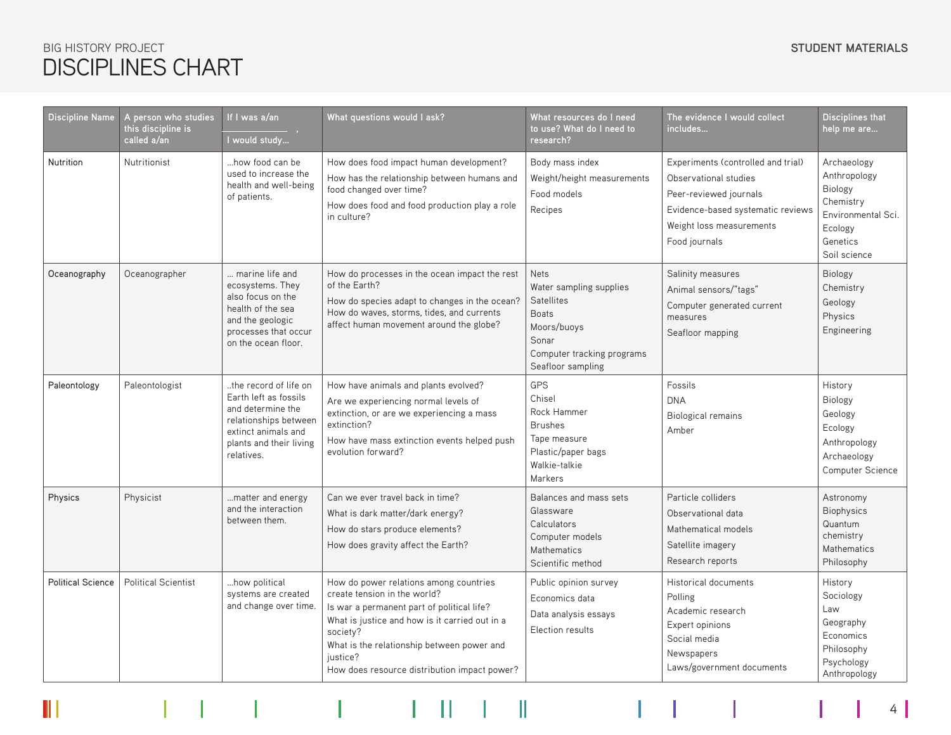# DISCIPLINES CHART **BIG HISTORY PROJECT**

 $\Vert \Vert$ 

| <b>Discipline Name</b>   | A person who studies<br>this discipline is<br>called a/an | If I was a/an<br>I would study                                                                                                                               | What questions would I ask?                                                                                                                                                                                                                                                                  | What resources do I need<br>to use? What do I need to<br>research?                                                                                     | The evidence I would collect<br>includes                                                                                                                                | Disciplines that<br>help me are                                                                                  |
|--------------------------|-----------------------------------------------------------|--------------------------------------------------------------------------------------------------------------------------------------------------------------|----------------------------------------------------------------------------------------------------------------------------------------------------------------------------------------------------------------------------------------------------------------------------------------------|--------------------------------------------------------------------------------------------------------------------------------------------------------|-------------------------------------------------------------------------------------------------------------------------------------------------------------------------|------------------------------------------------------------------------------------------------------------------|
| Nutrition                | Nutritionist                                              | how food can be<br>used to increase the<br>health and well-being<br>of patients.                                                                             | How does food impact human development?<br>How has the relationship between humans and<br>food changed over time?<br>How does food and food production play a role<br>in culture?                                                                                                            | Body mass index<br>Weight/height measurements<br>Food models<br>Recipes                                                                                | Experiments (controlled and trial)<br>Observational studies<br>Peer-reviewed journals<br>Evidence-based systematic reviews<br>Weight loss measurements<br>Food journals | Archaeology<br>Anthropology<br>Biology<br>Chemistry<br>Environmental Sci.<br>Ecology<br>Genetics<br>Soil science |
| Oceanography             | Oceanographer                                             | marine life and<br>ecosystems. They<br>also focus on the<br>health of the sea<br>and the geologic<br>processes that occur<br>on the ocean floor.             | How do processes in the ocean impact the rest<br>of the Earth?<br>How do species adapt to changes in the ocean?<br>How do waves, storms, tides, and currents<br>affect human movement around the globe?                                                                                      | <b>Nets</b><br>Water sampling supplies<br><b>Satellites</b><br><b>Boats</b><br>Moors/buoys<br>Sonar<br>Computer tracking programs<br>Seafloor sampling | Salinity measures<br>Animal sensors/"tags"<br>Computer generated current<br>measures<br>Seafloor mapping                                                                | <b>Biology</b><br>Chemistry<br>Geology<br>Physics<br>Engineering                                                 |
| Paleontology             | Paleontologist                                            | the record of life on<br>Earth left as fossils<br>and determine the<br>relationships between<br>extinct animals and<br>plants and their living<br>relatives. | How have animals and plants evolved?<br>Are we experiencing normal levels of<br>extinction, or are we experiencing a mass<br>extinction?<br>How have mass extinction events helped push<br>evolution forward?                                                                                | GPS<br>Chisel<br>Rock Hammer<br><b>Brushes</b><br>Tape measure<br>Plastic/paper bags<br>Walkie-talkie<br>Markers                                       | Fossils<br><b>DNA</b><br><b>Biological remains</b><br>Amber                                                                                                             | History<br>Biology<br>Geology<br>Ecology<br>Anthropology<br>Archaeology<br>Computer Science                      |
| Physics                  | Physicist                                                 | matter and energy<br>and the interaction<br>between them.                                                                                                    | Can we ever travel back in time?<br>What is dark matter/dark energy?<br>How do stars produce elements?<br>How does gravity affect the Earth?                                                                                                                                                 | Balances and mass sets<br>Glassware<br>Calculators<br>Computer models<br>Mathematics<br>Scientific method                                              | Particle colliders<br>Observational data<br>Mathematical models<br>Satellite imagery<br>Research reports                                                                | Astronomy<br>Biophysics<br>Quantum<br>chemistry<br><b>Mathematics</b><br>Philosophy                              |
| <b>Political Science</b> | <b>Political Scientist</b>                                | how political<br>systems are created<br>and change over time.                                                                                                | How do power relations among countries<br>create tension in the world?<br>Is war a permanent part of political life?<br>What is justice and how is it carried out in a<br>society?<br>What is the relationship between power and<br>justice?<br>How does resource distribution impact power? | Public opinion survey<br>Economics data<br>Data analysis essays<br>Election results                                                                    | Historical documents<br>Polling<br>Academic research<br>Expert opinions<br>Social media<br>Newspapers<br>Laws/government documents                                      | History<br>Sociology<br>Law<br>Geography<br>Economics<br>Philosophy<br>Psychology<br>Anthropology                |

 $4 \mid$